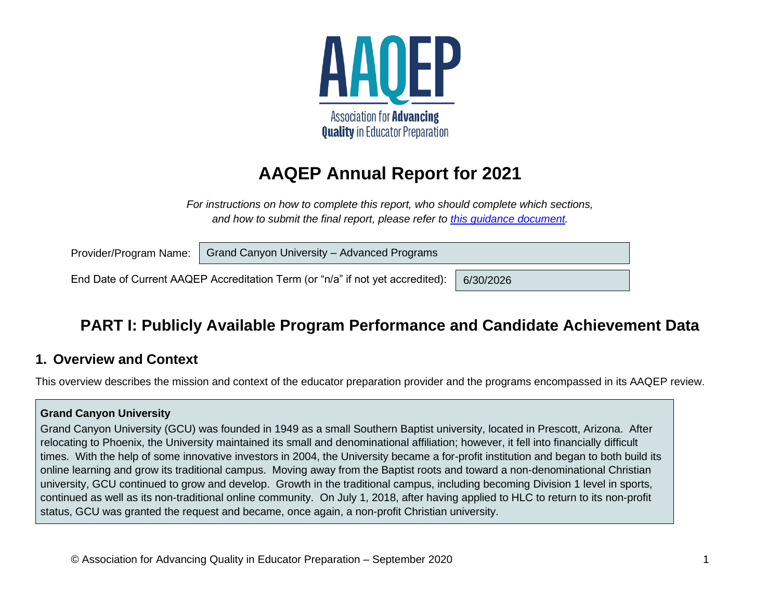

# **AAQEP Annual Report for 2021**

*For instructions on how to complete this report, who should complete which sections, and how to submit the final report, please refer to [this guidance document.](https://www.aaqep.org/files/2020-Annual-Report-Guidance.pdf)*

| Grand Canyon University - Advanced Programs<br>Provider/Program Name: |                                                                                |           |  |  |  |
|-----------------------------------------------------------------------|--------------------------------------------------------------------------------|-----------|--|--|--|
|                                                                       | End Date of Current AAQEP Accreditation Term (or "n/a" if not yet accredited): | 6/30/2026 |  |  |  |

## **PART I: Publicly Available Program Performance and Candidate Achievement Data**

### **1. Overview and Context**

This overview describes the mission and context of the educator preparation provider and the programs encompassed in its AAQEP review.

#### **Grand Canyon University**

Grand Canyon University (GCU) was founded in 1949 as a small Southern Baptist university, located in Prescott, Arizona. After relocating to Phoenix, the University maintained its small and denominational affiliation; however, it fell into financially difficult times. With the help of some innovative investors in 2004, the University became a for-profit institution and began to both build its online learning and grow its traditional campus. Moving away from the Baptist roots and toward a non-denominational Christian university, GCU continued to grow and develop. Growth in the traditional campus, including becoming Division 1 level in sports, continued as well as its non-traditional online community. On July 1, 2018, after having applied to HLC to return to its non-profit status, GCU was granted the request and became, once again, a non-profit Christian university.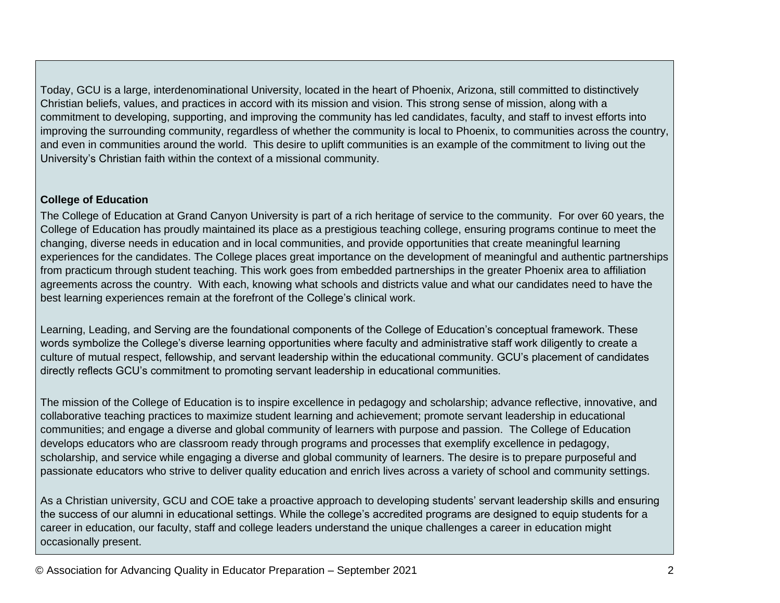Today, GCU is a large, interdenominational University, located in the heart of Phoenix, Arizona, still committed to distinctively Christian beliefs, values, and practices in accord with its mission and vision. This strong sense of mission, along with a commitment to developing, supporting, and improving the community has led candidates, faculty, and staff to invest efforts into improving the surrounding community, regardless of whether the community is local to Phoenix, to communities across the country, and even in communities around the world. This desire to uplift communities is an example of the commitment to living out the University's Christian faith within the context of a missional community.

#### **College of Education**

The College of Education at Grand Canyon University is part of a rich heritage of service to the community. For over 60 years, the College of Education has proudly maintained its place as a prestigious teaching college, ensuring programs continue to meet the changing, diverse needs in education and in local communities, and provide opportunities that create meaningful learning experiences for the candidates. The College places great importance on the development of meaningful and authentic partnerships from practicum through student teaching. This work goes from embedded partnerships in the greater Phoenix area to affiliation agreements across the country. With each, knowing what schools and districts value and what our candidates need to have the best learning experiences remain at the forefront of the College's clinical work.

Learning, Leading, and Serving are the foundational components of the College of Education's conceptual framework. These words symbolize the College's diverse learning opportunities where faculty and administrative staff work diligently to create a culture of mutual respect, fellowship, and servant leadership within the educational community. GCU's placement of candidates directly reflects GCU's commitment to promoting servant leadership in educational communities.

The mission of the College of Education is to inspire excellence in pedagogy and scholarship; advance reflective, innovative, and collaborative teaching practices to maximize student learning and achievement; promote servant leadership in educational communities; and engage a diverse and global community of learners with purpose and passion. The College of Education develops educators who are classroom ready through programs and processes that exemplify excellence in pedagogy, scholarship, and service while engaging a diverse and global community of learners. The desire is to prepare purposeful and passionate educators who strive to deliver quality education and enrich lives across a variety of school and community settings.

As a Christian university, GCU and COE take a proactive approach to developing students' servant leadership skills and ensuring the success of our alumni in educational settings. While the college's accredited programs are designed to equip students for a career in education, our faculty, staff and college leaders understand the unique challenges a career in education might occasionally present.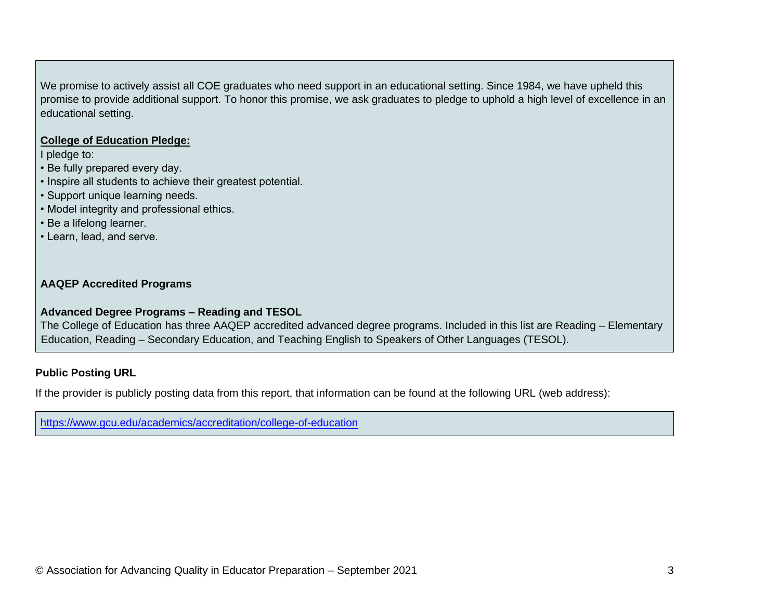We promise to actively assist all COE graduates who need support in an educational setting. Since 1984, we have upheld this promise to provide additional support. To honor this promise, we ask graduates to pledge to uphold a high level of excellence in an educational setting.

#### **College of Education Pledge:**

I pledge to:

- Be fully prepared every day.
- Inspire all students to achieve their greatest potential.
- Support unique learning needs.
- Model integrity and professional ethics.
- Be a lifelong learner.
- Learn, lead, and serve.

#### **AAQEP Accredited Programs**

#### **Advanced Degree Programs – Reading and TESOL**

The College of Education has three AAQEP accredited advanced degree programs. Included in this list are Reading – Elementary Education, Reading – Secondary Education, and Teaching English to Speakers of Other Languages (TESOL).

#### **Public Posting URL**

If the provider is publicly posting data from this report, that information can be found at the following URL (web address):

<https://www.gcu.edu/academics/accreditation/college-of-education>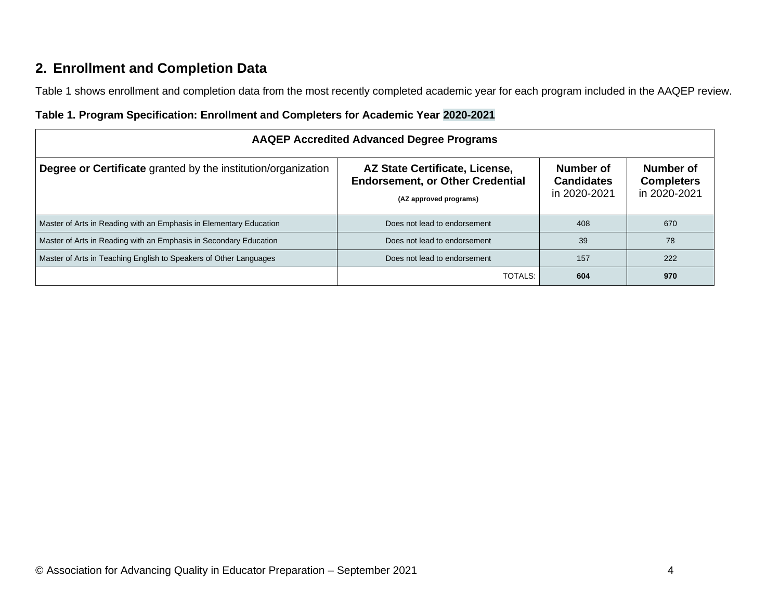## **2. Enrollment and Completion Data**

Table 1 shows enrollment and completion data from the most recently completed academic year for each program included in the AAQEP review.

| Table 1. Program Specification: Enrollment and Completers for Academic Year 2020-2021 |  |  |  |
|---------------------------------------------------------------------------------------|--|--|--|
|                                                                                       |  |  |  |

| <b>AAQEP Accredited Advanced Degree Programs</b>                     |                                                                                                     |                                                |                                                |  |  |  |  |
|----------------------------------------------------------------------|-----------------------------------------------------------------------------------------------------|------------------------------------------------|------------------------------------------------|--|--|--|--|
| <b>Degree or Certificate</b> granted by the institution/organization | AZ State Certificate, License,<br><b>Endorsement, or Other Credential</b><br>(AZ approved programs) | Number of<br><b>Candidates</b><br>in 2020-2021 | Number of<br><b>Completers</b><br>in 2020-2021 |  |  |  |  |
| Master of Arts in Reading with an Emphasis in Elementary Education   | Does not lead to endorsement                                                                        | 408                                            | 670                                            |  |  |  |  |
| Master of Arts in Reading with an Emphasis in Secondary Education    | Does not lead to endorsement                                                                        | 39                                             | 78                                             |  |  |  |  |
| Master of Arts in Teaching English to Speakers of Other Languages    | Does not lead to endorsement                                                                        | 157                                            | 222                                            |  |  |  |  |
|                                                                      | TOTALS:                                                                                             | 604                                            | 970                                            |  |  |  |  |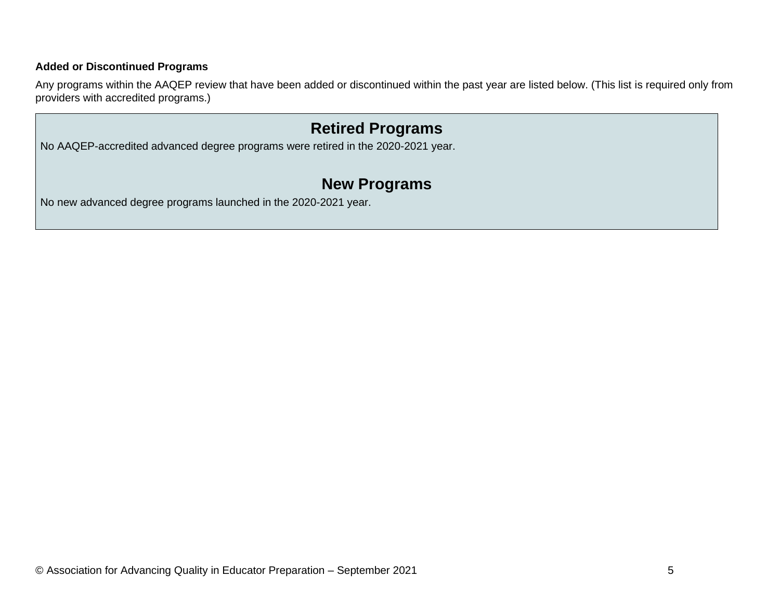#### **Added or Discontinued Programs**

Any programs within the AAQEP review that have been added or discontinued within the past year are listed below. (This list is required only from providers with accredited programs.)

## **Retired Programs**

No AAQEP-accredited advanced degree programs were retired in the 2020-2021 year.

## **New Programs**

No new advanced degree programs launched in the 2020-2021 year.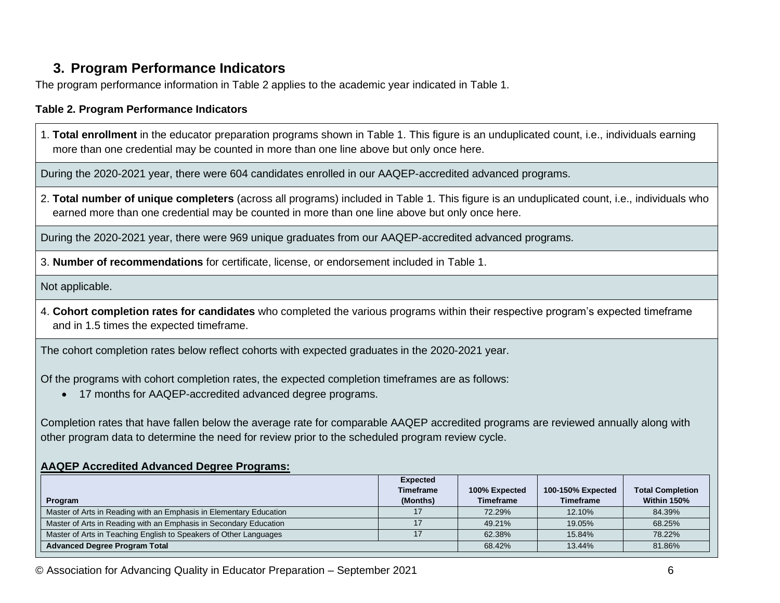### **3. Program Performance Indicators**

The program performance information in Table 2 applies to the academic year indicated in Table 1.

#### **Table 2. Program Performance Indicators**

1. **Total enrollment** in the educator preparation programs shown in Table 1. This figure is an unduplicated count, i.e., individuals earning more than one credential may be counted in more than one line above but only once here.

During the 2020-2021 year, there were 604 candidates enrolled in our AAQEP-accredited advanced programs.

2. **Total number of unique completers** (across all programs) included in Table 1. This figure is an unduplicated count, i.e., individuals who earned more than one credential may be counted in more than one line above but only once here.

During the 2020-2021 year, there were 969 unique graduates from our AAQEP-accredited advanced programs.

3. **Number of recommendations** for certificate, license, or endorsement included in Table 1.

Not applicable.

4. **Cohort completion rates for candidates** who completed the various programs within their respective program's expected timeframe and in 1.5 times the expected timeframe.

The cohort completion rates below reflect cohorts with expected graduates in the 2020-2021 year.

Of the programs with cohort completion rates, the expected completion timeframes are as follows:

• 17 months for AAQEP-accredited advanced degree programs.

Completion rates that have fallen below the average rate for comparable AAQEP accredited programs are reviewed annually along with other program data to determine the need for review prior to the scheduled program review cycle.

#### **AAQEP Accredited Advanced Degree Programs:**

|                                                                    | <b>Expected</b>  |                  |                   |                         |
|--------------------------------------------------------------------|------------------|------------------|-------------------|-------------------------|
|                                                                    | <b>Timeframe</b> | 100% Expected    | 100-150% Expected | <b>Total Completion</b> |
| Program                                                            | (Months)         | <b>Timeframe</b> | <b>Timeframe</b>  | Within 150%             |
| Master of Arts in Reading with an Emphasis in Elementary Education |                  | 72.29%           | 12.10%            | 84.39%                  |
| Master of Arts in Reading with an Emphasis in Secondary Education  |                  | 49.21%           | 19.05%            | 68.25%                  |
| Master of Arts in Teaching English to Speakers of Other Languages  |                  | 62.38%           | 15.84%            | 78.22%                  |
| <b>Advanced Degree Program Total</b>                               |                  | 68.42%           | 13.44%            | 81.86%                  |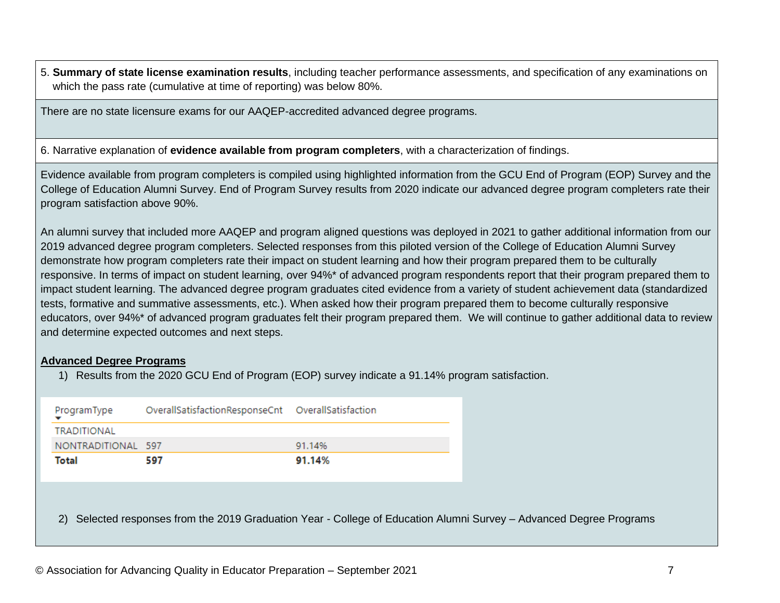5. **Summary of state license examination results**, including teacher performance assessments, and specification of any examinations on which the pass rate (cumulative at time of reporting) was below 80%.

There are no state licensure exams for our AAQEP-accredited advanced degree programs.

6. Narrative explanation of **evidence available from program completers**, with a characterization of findings.

Evidence available from program completers is compiled using highlighted information from the GCU End of Program (EOP) Survey and the College of Education Alumni Survey. End of Program Survey results from 2020 indicate our advanced degree program completers rate their program satisfaction above 90%.

An alumni survey that included more AAQEP and program aligned questions was deployed in 2021 to gather additional information from our 2019 advanced degree program completers. Selected responses from this piloted version of the College of Education Alumni Survey demonstrate how program completers rate their impact on student learning and how their program prepared them to be culturally responsive. In terms of impact on student learning, over 94%\* of advanced program respondents report that their program prepared them to impact student learning. The advanced degree program graduates cited evidence from a variety of student achievement data (standardized tests, formative and summative assessments, etc.). When asked how their program prepared them to become culturally responsive educators, over 94%\* of advanced program graduates felt their program prepared them. We will continue to gather additional data to review and determine expected outcomes and next steps.

#### **Advanced Degree Programs**

1) Results from the 2020 GCU End of Program (EOP) survey indicate a 91.14% program satisfaction.

| ProgramType        | OverallSatisfactionResponseCnt    OverallSatisfaction |        |
|--------------------|-------------------------------------------------------|--------|
| <b>TRADITIONAL</b> |                                                       |        |
| NONTRADITIONAL 597 |                                                       | 91.14% |
| Total              | 597                                                   | 91.14% |

2) Selected responses from the 2019 Graduation Year - College of Education Alumni Survey – Advanced Degree Programs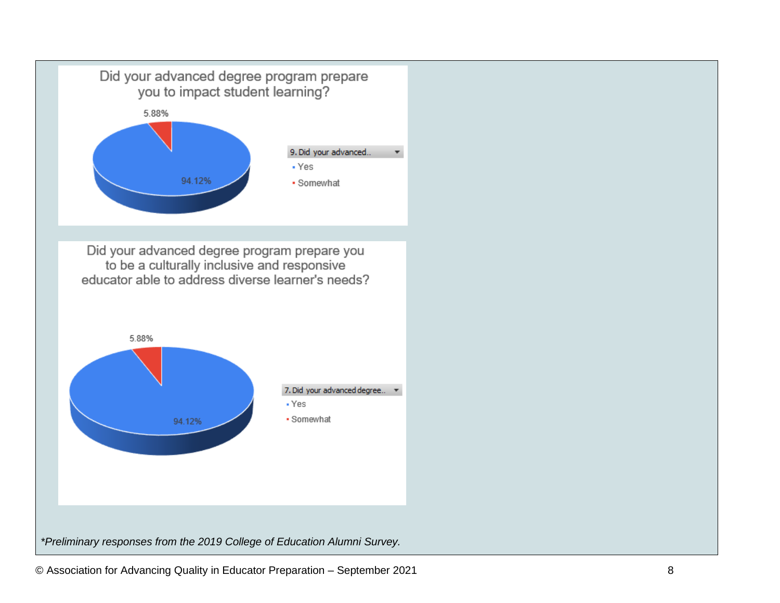

Did your advanced degree program prepare you<br>to be a culturally inclusive and responsive educator able to address diverse learner's needs?

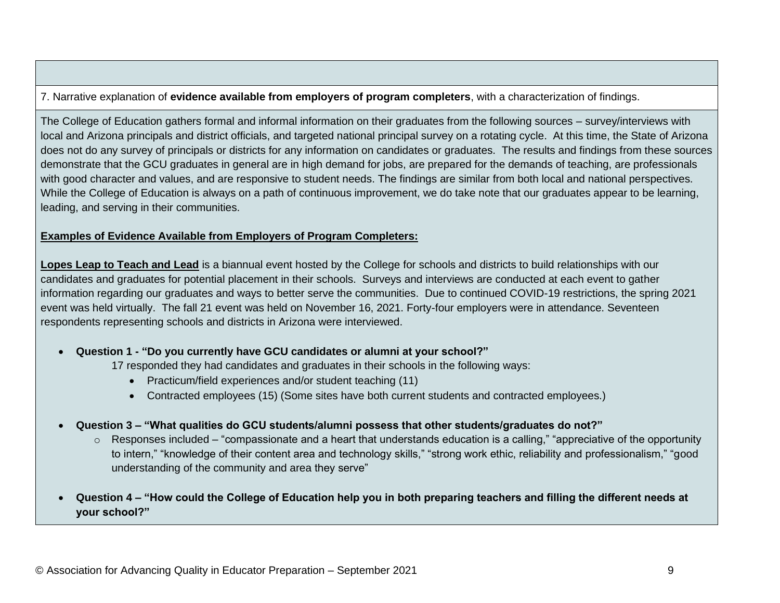7. Narrative explanation of **evidence available from employers of program completers**, with a characterization of findings.

The College of Education gathers formal and informal information on their graduates from the following sources – survey/interviews with local and Arizona principals and district officials, and targeted national principal survey on a rotating cycle. At this time, the State of Arizona does not do any survey of principals or districts for any information on candidates or graduates. The results and findings from these sources demonstrate that the GCU graduates in general are in high demand for jobs, are prepared for the demands of teaching, are professionals with good character and values, and are responsive to student needs. The findings are similar from both local and national perspectives. While the College of Education is always on a path of continuous improvement, we do take note that our graduates appear to be learning, leading, and serving in their communities.

#### **Examples of Evidence Available from Employers of Program Completers:**

**Lopes Leap to Teach and Lead** is a biannual event hosted by the College for schools and districts to build relationships with our candidates and graduates for potential placement in their schools. Surveys and interviews are conducted at each event to gather information regarding our graduates and ways to better serve the communities. Due to continued COVID-19 restrictions, the spring 2021 event was held virtually. The fall 21 event was held on November 16, 2021. Forty-four employers were in attendance. Seventeen respondents representing schools and districts in Arizona were interviewed.

#### • **Question 1 - "Do you currently have GCU candidates or alumni at your school?"**

17 responded they had candidates and graduates in their schools in the following ways:

- Practicum/field experiences and/or student teaching (11)
- Contracted employees (15) (Some sites have both current students and contracted employees.)
- **Question 3 – "What qualities do GCU students/alumni possess that other students/graduates do not?"**
	- $\circ$  Responses included "compassionate and a heart that understands education is a calling," "appreciative of the opportunity to intern," "knowledge of their content area and technology skills," "strong work ethic, reliability and professionalism," "good understanding of the community and area they serve"
- **Question 4 – "How could the College of Education help you in both preparing teachers and filling the different needs at your school?"**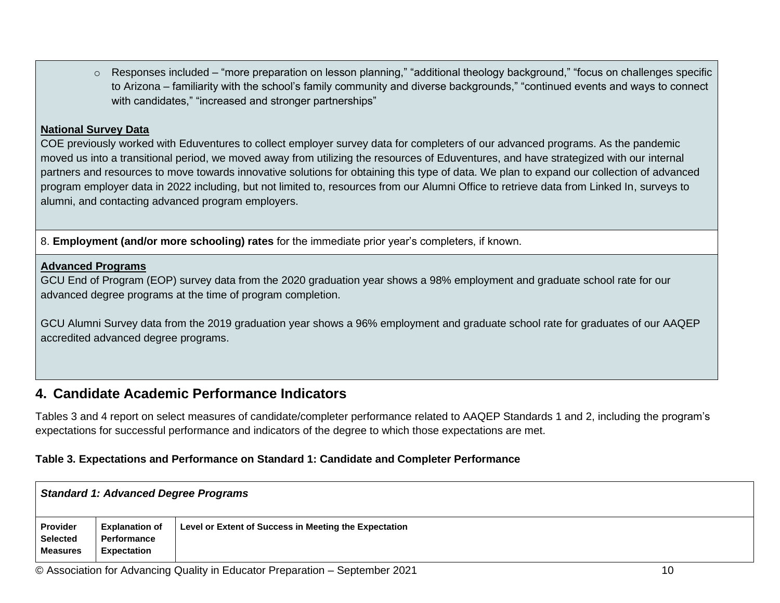o Responses included – "more preparation on lesson planning," "additional theology background," "focus on challenges specific to Arizona – familiarity with the school's family community and diverse backgrounds," "continued events and ways to connect with candidates," "increased and stronger partnerships"

#### **National Survey Data**

COE previously worked with Eduventures to collect employer survey data for completers of our advanced programs. As the pandemic moved us into a transitional period, we moved away from utilizing the resources of Eduventures, and have strategized with our internal partners and resources to move towards innovative solutions for obtaining this type of data. We plan to expand our collection of advanced program employer data in 2022 including, but not limited to, resources from our Alumni Office to retrieve data from Linked In, surveys to alumni, and contacting advanced program employers.

8. **Employment (and/or more schooling) rates** for the immediate prior year's completers, if known.

#### **Advanced Programs**

GCU End of Program (EOP) survey data from the 2020 graduation year shows a 98% employment and graduate school rate for our advanced degree programs at the time of program completion.

GCU Alumni Survey data from the 2019 graduation year shows a 96% employment and graduate school rate for graduates of our AAQEP accredited advanced degree programs.

### **4. Candidate Academic Performance Indicators**

Tables 3 and 4 report on select measures of candidate/completer performance related to AAQEP Standards 1 and 2, including the program's expectations for successful performance and indicators of the degree to which those expectations are met.

#### **Table 3. Expectations and Performance on Standard 1: Candidate and Completer Performance**

|                                                | <b>Standard 1: Advanced Degree Programs</b>                |                                                       |  |  |  |  |  |  |
|------------------------------------------------|------------------------------------------------------------|-------------------------------------------------------|--|--|--|--|--|--|
| Provider<br><b>Selected</b><br><b>Measures</b> | <b>Explanation of</b><br>Performance<br><b>Expectation</b> | Level or Extent of Success in Meeting the Expectation |  |  |  |  |  |  |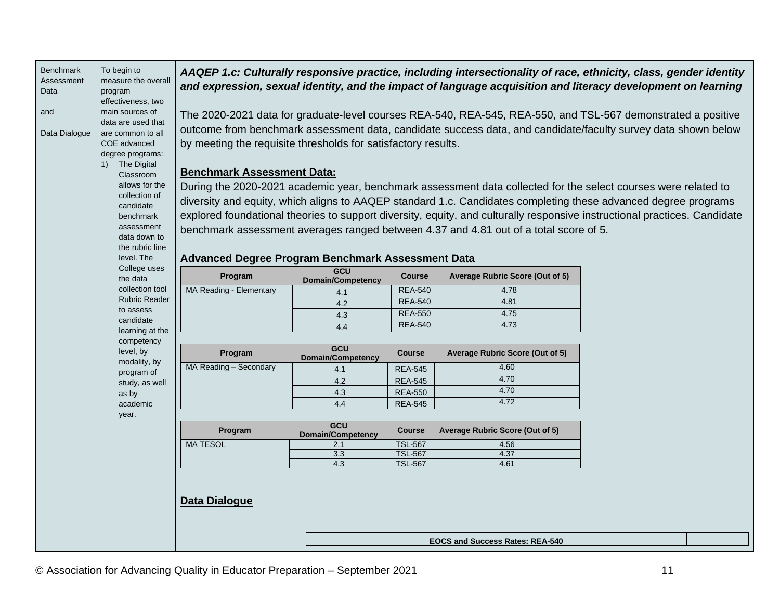| Benchmark     | To begin to                             |                                                               |                                 |                | AAQEP 1.c: Culturally responsive practice, including intersectionality of race, ethnicity, class, gender identity         |  |
|---------------|-----------------------------------------|---------------------------------------------------------------|---------------------------------|----------------|---------------------------------------------------------------------------------------------------------------------------|--|
| Assessment    | measure the overall                     |                                                               |                                 |                | and expression, sexual identity, and the impact of language acquisition and literacy development on learning              |  |
| Data          | program                                 |                                                               |                                 |                |                                                                                                                           |  |
|               | effectiveness, two                      |                                                               |                                 |                |                                                                                                                           |  |
| and           | main sources of                         |                                                               |                                 |                | The 2020-2021 data for graduate-level courses REA-540, REA-545, REA-550, and TSL-567 demonstrated a positive              |  |
| Data Dialogue | data are used that<br>are common to all |                                                               |                                 |                | outcome from benchmark assessment data, candidate success data, and candidate/faculty survey data shown below             |  |
|               | COE advanced                            | by meeting the requisite thresholds for satisfactory results. |                                 |                |                                                                                                                           |  |
|               | degree programs:                        |                                                               |                                 |                |                                                                                                                           |  |
|               | 1) The Digital                          |                                                               |                                 |                |                                                                                                                           |  |
|               | Classroom                               | <b>Benchmark Assessment Data:</b>                             |                                 |                |                                                                                                                           |  |
|               | allows for the                          |                                                               |                                 |                | During the 2020-2021 academic year, benchmark assessment data collected for the select courses were related to            |  |
|               | collection of                           |                                                               |                                 |                | diversity and equity, which aligns to AAQEP standard 1.c. Candidates completing these advanced degree programs            |  |
|               | candidate                               |                                                               |                                 |                |                                                                                                                           |  |
|               | benchmark                               |                                                               |                                 |                | explored foundational theories to support diversity, equity, and culturally responsive instructional practices. Candidate |  |
|               | assessment<br>data down to              |                                                               |                                 |                | benchmark assessment averages ranged between 4.37 and 4.81 out of a total score of 5.                                     |  |
|               | the rubric line                         |                                                               |                                 |                |                                                                                                                           |  |
|               | level. The                              | Advanced Degree Program Benchmark Assessment Data             |                                 |                |                                                                                                                           |  |
|               | College uses                            | Program                                                       | GCU                             | <b>Course</b>  | Average Rubric Score (Out of 5)                                                                                           |  |
|               | the data                                |                                                               | <b>Domain/Competency</b>        |                |                                                                                                                           |  |
|               | collection tool<br><b>Rubric Reader</b> | MA Reading - Elementary                                       | 4.1                             | <b>REA-540</b> | 4.78                                                                                                                      |  |
|               | to assess                               |                                                               | 4.2                             | <b>REA-540</b> | 4.81                                                                                                                      |  |
|               | candidate                               |                                                               | 4.3                             | <b>REA-550</b> | 4.75                                                                                                                      |  |
|               | learning at the                         |                                                               | 4.4                             | <b>REA-540</b> | 4.73                                                                                                                      |  |
|               | competency                              |                                                               |                                 |                |                                                                                                                           |  |
|               | level, by<br>modality, by               | Program                                                       | GCU<br><b>Domain/Competency</b> | <b>Course</b>  | Average Rubric Score (Out of 5)                                                                                           |  |
|               | program of                              | MA Reading - Secondary                                        | 4.1                             | <b>REA-545</b> | 4.60                                                                                                                      |  |
|               | study, as well                          |                                                               | 4.2                             | <b>REA-545</b> | 4.70                                                                                                                      |  |
|               | as by                                   |                                                               | 4.3                             | <b>REA-550</b> | 4.70                                                                                                                      |  |
|               | academic                                |                                                               | 4.4                             | <b>REA-545</b> | 4.72                                                                                                                      |  |
|               | year.                                   |                                                               |                                 |                |                                                                                                                           |  |
|               |                                         | Program                                                       | GCU<br><b>Domain/Competency</b> | <b>Course</b>  | Average Rubric Score (Out of 5)                                                                                           |  |
|               |                                         | <b>MA TESOL</b>                                               | 2.1                             | <b>TSL-567</b> | 4.56                                                                                                                      |  |
|               |                                         |                                                               | 3.3                             | <b>TSL-567</b> | 4.37                                                                                                                      |  |
|               |                                         |                                                               | 4.3                             | <b>TSL-567</b> | 4.61                                                                                                                      |  |
|               |                                         |                                                               |                                 |                |                                                                                                                           |  |
|               |                                         |                                                               |                                 |                |                                                                                                                           |  |
|               |                                         | <b>Data Dialogue</b>                                          |                                 |                |                                                                                                                           |  |
|               |                                         |                                                               |                                 |                |                                                                                                                           |  |
|               |                                         |                                                               |                                 |                |                                                                                                                           |  |
|               |                                         |                                                               |                                 |                | <b>EOCS and Success Rates: REA-540</b>                                                                                    |  |
|               |                                         |                                                               |                                 |                |                                                                                                                           |  |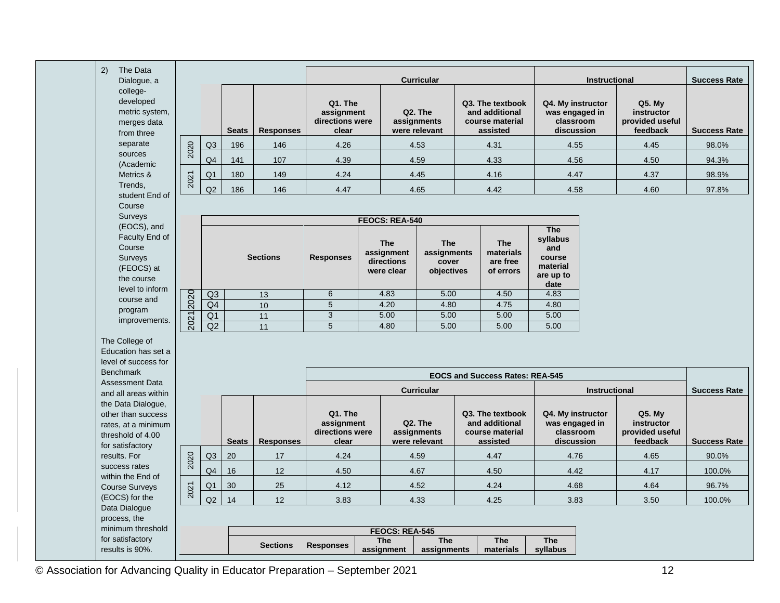| 2)<br>The Data                                                                                           |      |                |              |                  |                                                   |                                                      |                                                      |                                                                   |                                                                          |                      |                                                            |                     |
|----------------------------------------------------------------------------------------------------------|------|----------------|--------------|------------------|---------------------------------------------------|------------------------------------------------------|------------------------------------------------------|-------------------------------------------------------------------|--------------------------------------------------------------------------|----------------------|------------------------------------------------------------|---------------------|
| Dialogue, a                                                                                              |      |                |              |                  |                                                   |                                                      | <b>Curricular</b>                                    |                                                                   |                                                                          | <b>Instructional</b> |                                                            | <b>Success Rate</b> |
| college-<br>developed<br>metric system,<br>merges data<br>from three                                     |      |                | <b>Seats</b> | <b>Responses</b> | Q1. The<br>assignment<br>directions were<br>clear |                                                      | Q <sub>2</sub> . The<br>assignments<br>were relevant | Q3. The textbook<br>and additional<br>course material<br>assisted | Q4. My instructor<br>was engaged in<br>classroom<br>discussion           |                      | Q5. My<br>instructor<br>provided useful<br>feedback        | <b>Success Rate</b> |
| separate                                                                                                 |      | Q3             | 196          | 146              | 4.26                                              |                                                      | 4.53                                                 | 4.31                                                              | 4.55                                                                     |                      | 4.45                                                       | 98.0%               |
| sources                                                                                                  | 2020 | Q <sub>4</sub> | 141          | 107              | 4.39                                              |                                                      | 4.59                                                 | 4.33                                                              | 4.56                                                                     |                      | 4.50                                                       | 94.3%               |
| (Academic<br>Metrics &                                                                                   |      | Q1             | 180          | 149              | 4.24                                              |                                                      | 4.45                                                 | 4.16                                                              | 4.47                                                                     |                      | 4.37                                                       | 98.9%               |
| Trends.                                                                                                  | 2021 | Q2             |              |                  |                                                   |                                                      |                                                      |                                                                   |                                                                          |                      |                                                            |                     |
| student End of                                                                                           |      |                | 186          | 146              | 4.47                                              |                                                      | 4.65                                                 | 4.42                                                              | 4.58                                                                     |                      | 4.60                                                       | 97.8%               |
| Course<br>Surveys                                                                                        |      |                |              |                  |                                                   |                                                      |                                                      |                                                                   |                                                                          |                      |                                                            |                     |
| (EOCS), and                                                                                              |      |                |              |                  |                                                   | FEOCS: REA-540                                       |                                                      |                                                                   |                                                                          |                      |                                                            |                     |
| Faculty End of<br>Course<br>Surveys<br>(FEOCS) at<br>the course                                          |      |                |              | <b>Sections</b>  | <b>Responses</b>                                  | <b>The</b><br>assignment<br>directions<br>were clear | The<br>assignments<br>cover<br>objectives            | <b>The</b><br>materials<br>are free<br>of errors                  | <b>The</b><br>syllabus<br>and<br>course<br>material<br>are up to<br>date |                      |                                                            |                     |
| level to inform                                                                                          |      | Q <sub>3</sub> |              | 13               | 6                                                 | 4.83                                                 | 5.00                                                 | 4.50                                                              | 4.83                                                                     |                      |                                                            |                     |
| course and<br>program                                                                                    | 2020 | Q4             |              | 10               | $\overline{5}$                                    | 4.20                                                 | 4.80                                                 | 4.75                                                              | 4.80                                                                     |                      |                                                            |                     |
| improvements.                                                                                            | 2021 | Q1             |              | 11               | $\overline{3}$                                    | 5.00                                                 | 5.00                                                 | 5.00                                                              | 5.00                                                                     |                      |                                                            |                     |
|                                                                                                          |      | Q2             |              | 11               | 5                                                 | 4.80                                                 | 5.00                                                 | 5.00                                                              | 5.00                                                                     |                      |                                                            |                     |
| The College of<br>Education has set a<br>level of success for<br><b>Benchmark</b>                        |      |                |              |                  |                                                   |                                                      |                                                      |                                                                   |                                                                          |                      |                                                            |                     |
| <b>Assessment Data</b>                                                                                   |      |                |              |                  |                                                   |                                                      |                                                      | <b>EOCS and Success Rates: REA-545</b>                            |                                                                          |                      |                                                            |                     |
| and all areas within                                                                                     |      |                |              |                  |                                                   |                                                      | <b>Curricular</b>                                    |                                                                   |                                                                          | Instructional        |                                                            | <b>Success Rate</b> |
| the Data Dialogue,<br>other than success<br>rates, at a minimum<br>threshold of 4.00<br>for satisfactory |      |                | <b>Seats</b> | <b>Responses</b> | Q1. The<br>assignment<br>directions were<br>clear |                                                      | Q2. The<br>assignments<br>were relevant              | Q3. The textbook<br>and additional<br>course material<br>assisted | Q4. My instructor<br>was engaged in<br>classroom<br>discussion           |                      | <b>Q5. My</b><br>instructor<br>provided useful<br>feedback | <b>Success Rate</b> |
| results. For                                                                                             |      | Q3             | 20           | 17               | 4.24                                              |                                                      | 4.59                                                 | 4.47                                                              | 4.76                                                                     |                      | 4.65                                                       | 90.0%               |
| success rates                                                                                            | 2020 | Q <sub>4</sub> | 16           | 12               | 4.50                                              |                                                      | 4.67                                                 | 4.50                                                              | 4.42                                                                     |                      | 4.17                                                       | 100.0%              |
| within the End of<br><b>Course Surveys</b>                                                               |      | Q1             | 30           | 25               | 4.12                                              |                                                      | 4.52                                                 | 4.24                                                              | 4.68                                                                     |                      | 4.64                                                       | 96.7%               |
| (EOCS) for the                                                                                           | 2021 | Q2             | 14           | 12               | 3.83                                              |                                                      | 4.33                                                 | 4.25                                                              | 3.83                                                                     |                      | 3.50                                                       | 100.0%              |
| Data Dialogue                                                                                            |      |                |              |                  |                                                   |                                                      |                                                      |                                                                   |                                                                          |                      |                                                            |                     |
| process, the<br>minimum threshold                                                                        |      |                |              |                  |                                                   |                                                      |                                                      |                                                                   |                                                                          |                      |                                                            |                     |
| for satisfactory                                                                                         |      |                |              |                  |                                                   | FEOCS: REA-545<br><b>The</b>                         | <b>The</b>                                           | <b>The</b>                                                        | <b>The</b>                                                               |                      |                                                            |                     |
| results is 90%.                                                                                          |      |                |              | <b>Sections</b>  | <b>Responses</b>                                  | assignment                                           | assignments                                          | materials                                                         | syllabus                                                                 |                      |                                                            |                     |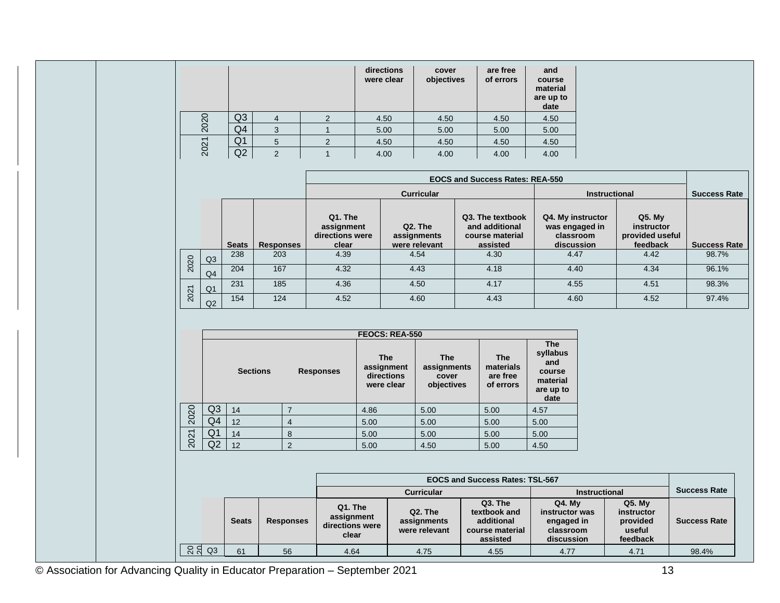|      |                |   |   | directions<br>were clear | cover<br>objectives | are free<br>of errors | and<br>course<br>material<br>are up to<br>date |
|------|----------------|---|---|--------------------------|---------------------|-----------------------|------------------------------------------------|
| 2020 | Q <sub>3</sub> | 4 | າ | 4.50                     | 4.50                | 4.50                  | 4.50                                           |
|      | Q4             | 3 |   | 5.00                     | 5.00                | 5.00                  | 5.00                                           |
| 2021 | Q <sub>1</sub> |   |   | 4.50                     | 4.50                | 4.50                  | 4.50                                           |
|      | Q2             |   |   | 4.00                     | 4.00                | 4.00                  | 4.00                                           |

|      |                |              |                  | <b>EOCS and Success Rates: REA-550</b>            |                                         |                                                                   |                                                                |                                                       |                     |
|------|----------------|--------------|------------------|---------------------------------------------------|-----------------------------------------|-------------------------------------------------------------------|----------------------------------------------------------------|-------------------------------------------------------|---------------------|
|      |                |              |                  |                                                   | <b>Curricular</b>                       |                                                                   | <b>Instructional</b>                                           | <b>Success Rate</b>                                   |                     |
|      |                | <b>Seats</b> | <b>Responses</b> | Q1. The<br>assignment<br>directions were<br>clear | Q2. The<br>assignments<br>were relevant | Q3. The textbook<br>and additional<br>course material<br>assisted | Q4. My instructor<br>was engaged in<br>classroom<br>discussion | $Q5.$ My<br>instructor<br>provided useful<br>feedback | <b>Success Rate</b> |
| 2020 | Q3             | 238          | 203              | 4.39                                              | 4.54                                    | 4.30                                                              | 4.47                                                           | 4.42                                                  | 98.7%               |
|      | Q4             | 204          | 167              | 4.32                                              | 4.43                                    | 4.18                                                              | 4.40                                                           | 4.34                                                  | 96.1%               |
|      | Q <sub>1</sub> | 231          | 185              | 4.36                                              | 4.50                                    | 4.17                                                              | 4.55                                                           | 4.51                                                  | 98.3%               |
| 2021 | Q2             | 154          | 124              | 4.52                                              | 4.60                                    | 4.43                                                              | 4.60                                                           | 4.52                                                  | 97.4%               |

|      |                |                 |                  | <b>FEOCS: REA-550</b>                                |                                                  |                                                  |                                                                          |
|------|----------------|-----------------|------------------|------------------------------------------------------|--------------------------------------------------|--------------------------------------------------|--------------------------------------------------------------------------|
|      |                | <b>Sections</b> | <b>Responses</b> | <b>The</b><br>assignment<br>directions<br>were clear | <b>The</b><br>assignments<br>cover<br>objectives | <b>The</b><br>materials<br>are free<br>of errors | <b>The</b><br>syllabus<br>and<br>course<br>material<br>are up to<br>date |
| 2020 | Q <sub>3</sub> | 14              |                  | 4.86                                                 | 5.00                                             | 5.00                                             | 4.57                                                                     |
|      | Q4             | 12              | 4                | 5.00                                                 | 5.00                                             | 5.00                                             | 5.00                                                                     |
| 2021 | Q1             | 14              | 8                | 5.00                                                 | 5.00                                             | 5.00                                             | 5.00                                                                     |
|      | Q2             | 12              | $\overline{2}$   | 5.00                                                 | 4.50                                             | 5.00                                             | 4.50                                                                     |

|    |    |              |                  |                                                                                              | <b>Curricular</b> |                                                                      | <b>Instructional</b>                                                     | <b>Success Rate</b>                                      |                     |
|----|----|--------------|------------------|----------------------------------------------------------------------------------------------|-------------------|----------------------------------------------------------------------|--------------------------------------------------------------------------|----------------------------------------------------------|---------------------|
|    |    | <b>Seats</b> | <b>Responses</b> | Q1. The<br>Q2. The<br>assignment<br>assignments<br>directions were<br>were relevant<br>clear |                   | Q3. The<br>textbook and<br>additional<br>course material<br>assisted | <b>Q4. Mv</b><br>instructor was<br>engaged in<br>classroom<br>discussion | $Q5.$ My<br>instructor<br>provided<br>useful<br>feedback | <b>Success Rate</b> |
| 88 | Q3 | 61           | 56               | 4.64                                                                                         | 4.75              | 4.55                                                                 | 4.77                                                                     | 4.71                                                     | 98.4%               |

© Association for Advancing Quality in Educator Preparation – September 2021 13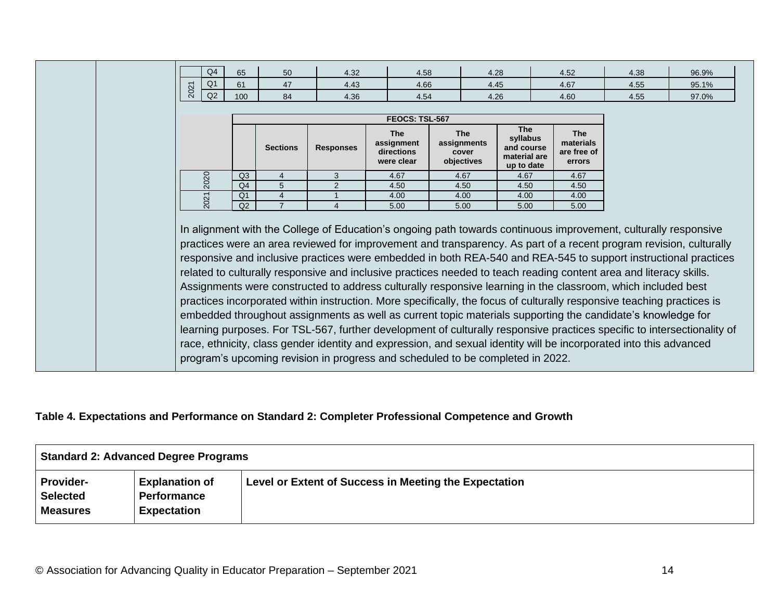|      | Q4             | 65                   | 50              | 4.32                                                                           | 4.58                                                 |  | 4.28                                             |                                                                    |  | 4.52                                             | 4.38                                                                                                                                                                                                                                                                                                                                                                                                                                                                                                                                                                                                                                                                                                                 | 96.9%                                                                                                                                                                                                                                                                                                                                                            |  |
|------|----------------|----------------------|-----------------|--------------------------------------------------------------------------------|------------------------------------------------------|--|--------------------------------------------------|--------------------------------------------------------------------|--|--------------------------------------------------|----------------------------------------------------------------------------------------------------------------------------------------------------------------------------------------------------------------------------------------------------------------------------------------------------------------------------------------------------------------------------------------------------------------------------------------------------------------------------------------------------------------------------------------------------------------------------------------------------------------------------------------------------------------------------------------------------------------------|------------------------------------------------------------------------------------------------------------------------------------------------------------------------------------------------------------------------------------------------------------------------------------------------------------------------------------------------------------------|--|
| 2021 | Q <sub>1</sub> | 61                   | 47              | 4.43                                                                           | 4.66                                                 |  | 4.45                                             |                                                                    |  | 4.67                                             | 4.55                                                                                                                                                                                                                                                                                                                                                                                                                                                                                                                                                                                                                                                                                                                 | 95.1%                                                                                                                                                                                                                                                                                                                                                            |  |
|      | Q2             | 100                  | 84              | 4.36                                                                           | 4.54                                                 |  | 4.26                                             |                                                                    |  | 4.60                                             | 4.55                                                                                                                                                                                                                                                                                                                                                                                                                                                                                                                                                                                                                                                                                                                 | 97.0%                                                                                                                                                                                                                                                                                                                                                            |  |
|      |                |                      |                 |                                                                                |                                                      |  |                                                  |                                                                    |  |                                                  |                                                                                                                                                                                                                                                                                                                                                                                                                                                                                                                                                                                                                                                                                                                      |                                                                                                                                                                                                                                                                                                                                                                  |  |
|      |                |                      |                 |                                                                                | FEOCS: TSL-567                                       |  |                                                  |                                                                    |  |                                                  |                                                                                                                                                                                                                                                                                                                                                                                                                                                                                                                                                                                                                                                                                                                      |                                                                                                                                                                                                                                                                                                                                                                  |  |
|      |                |                      | <b>Sections</b> | <b>Responses</b>                                                               | <b>The</b><br>assignment<br>directions<br>were clear |  | <b>The</b><br>assignments<br>cover<br>objectives | <b>The</b><br>syllabus<br>and course<br>material are<br>up to date |  | <b>The</b><br>materials<br>are free of<br>errors |                                                                                                                                                                                                                                                                                                                                                                                                                                                                                                                                                                                                                                                                                                                      |                                                                                                                                                                                                                                                                                                                                                                  |  |
| 2020 |                | Q <sub>3</sub>       | 4               | 3                                                                              | 4.67                                                 |  | 4.67                                             | 4.67                                                               |  | 4.67                                             |                                                                                                                                                                                                                                                                                                                                                                                                                                                                                                                                                                                                                                                                                                                      |                                                                                                                                                                                                                                                                                                                                                                  |  |
|      |                | Q <sub>4</sub>       | 5               | 2                                                                              | 4.50                                                 |  | 4.50                                             | 4.50                                                               |  | 4.50                                             |                                                                                                                                                                                                                                                                                                                                                                                                                                                                                                                                                                                                                                                                                                                      |                                                                                                                                                                                                                                                                                                                                                                  |  |
| 2021 |                | Q <sub>1</sub><br>Q2 | $\overline{7}$  | 4<br>4.00<br>4.00<br>4.00<br>4.00<br>5.00<br>5.00<br>5.00<br>$\Delta$<br>5.00  |                                                      |  |                                                  |                                                                    |  |                                                  |                                                                                                                                                                                                                                                                                                                                                                                                                                                                                                                                                                                                                                                                                                                      |                                                                                                                                                                                                                                                                                                                                                                  |  |
|      |                |                      |                 | program's upcoming revision in progress and scheduled to be completed in 2022. |                                                      |  |                                                  |                                                                    |  |                                                  | In alignment with the College of Education's ongoing path towards continuous improvement, culturally responsive<br>related to culturally responsive and inclusive practices needed to teach reading content area and literacy skills.<br>Assignments were constructed to address culturally responsive learning in the classroom, which included best<br>practices incorporated within instruction. More specifically, the focus of culturally responsive teaching practices is<br>embedded throughout assignments as well as current topic materials supporting the candidate's knowledge for<br>race, ethnicity, class gender identity and expression, and sexual identity will be incorporated into this advanced | practices were an area reviewed for improvement and transparency. As part of a recent program revision, culturally<br>responsive and inclusive practices were embedded in both REA-540 and REA-545 to support instructional practices<br>learning purposes. For TSL-567, further development of culturally responsive practices specific to intersectionality of |  |

## **Table 4. Expectations and Performance on Standard 2: Completer Professional Competence and Growth**

|                                                 | Standard 2: Advanced Degree Programs                              |                                                       |  |  |  |  |  |  |  |
|-------------------------------------------------|-------------------------------------------------------------------|-------------------------------------------------------|--|--|--|--|--|--|--|
| <b>Provider-</b><br>Selected<br><b>Measures</b> | <b>Explanation of</b><br><b>Performance</b><br><b>Expectation</b> | Level or Extent of Success in Meeting the Expectation |  |  |  |  |  |  |  |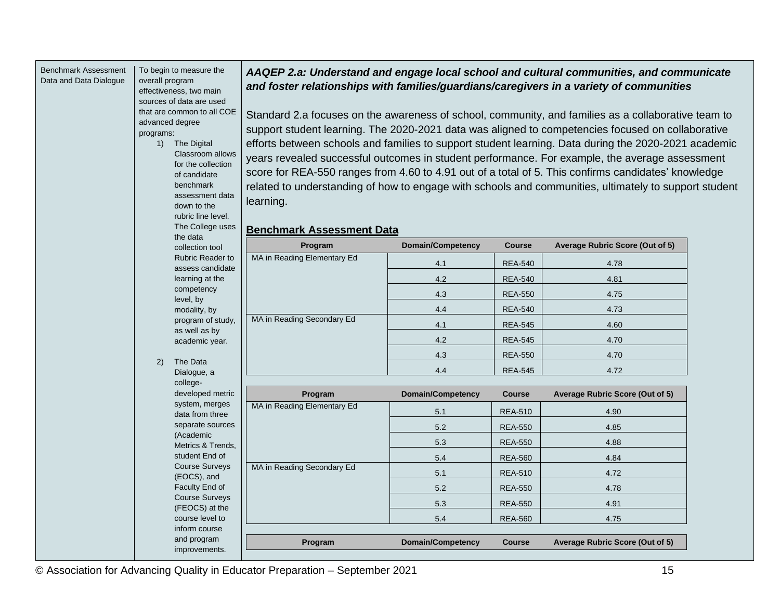| <b>Benchmark Assessment</b> |                 | To begin to measure the                 |                                                                                                |                                                                                                       |                | AAQEP 2.a: Understand and engage local school and cultural communities, and communicate              |  |  |  |  |  |
|-----------------------------|-----------------|-----------------------------------------|------------------------------------------------------------------------------------------------|-------------------------------------------------------------------------------------------------------|----------------|------------------------------------------------------------------------------------------------------|--|--|--|--|--|
| Data and Data Dialogue      | overall program | effectiveness, two main                 |                                                                                                |                                                                                                       |                | and foster relationships with families/guardians/caregivers in a variety of communities              |  |  |  |  |  |
|                             |                 | sources of data are used                |                                                                                                |                                                                                                       |                |                                                                                                      |  |  |  |  |  |
|                             |                 | that are common to all COE              |                                                                                                |                                                                                                       |                | Standard 2.a focuses on the awareness of school, community, and families as a collaborative team to  |  |  |  |  |  |
|                             |                 | advanced degree                         |                                                                                                |                                                                                                       |                | support student learning. The 2020-2021 data was aligned to competencies focused on collaborative    |  |  |  |  |  |
|                             | programs:       |                                         |                                                                                                |                                                                                                       |                |                                                                                                      |  |  |  |  |  |
|                             | 1)              | The Digital<br>Classroom allows         |                                                                                                |                                                                                                       |                | efforts between schools and families to support student learning. Data during the 2020-2021 academic |  |  |  |  |  |
|                             |                 | for the collection                      | years revealed successful outcomes in student performance. For example, the average assessment |                                                                                                       |                |                                                                                                      |  |  |  |  |  |
|                             |                 | of candidate                            |                                                                                                |                                                                                                       |                | score for REA-550 ranges from 4.60 to 4.91 out of a total of 5. This confirms candidates' knowledge  |  |  |  |  |  |
|                             |                 | benchmark                               |                                                                                                | related to understanding of how to engage with schools and communities, ultimately to support student |                |                                                                                                      |  |  |  |  |  |
|                             |                 | assessment data<br>down to the          | learning.                                                                                      |                                                                                                       |                |                                                                                                      |  |  |  |  |  |
|                             |                 | rubric line level.                      |                                                                                                |                                                                                                       |                |                                                                                                      |  |  |  |  |  |
|                             |                 | The College uses                        | <b>Benchmark Assessment Data</b>                                                               |                                                                                                       |                |                                                                                                      |  |  |  |  |  |
|                             |                 | the data<br>collection tool             | Program                                                                                        | <b>Domain/Competency</b>                                                                              | <b>Course</b>  | Average Rubric Score (Out of 5)                                                                      |  |  |  |  |  |
|                             |                 | <b>Rubric Reader to</b>                 | MA in Reading Elementary Ed                                                                    |                                                                                                       | <b>REA-540</b> | 4.78                                                                                                 |  |  |  |  |  |
|                             |                 | assess candidate                        |                                                                                                | 4.1<br>4.2                                                                                            | <b>REA-540</b> | 4.81                                                                                                 |  |  |  |  |  |
|                             |                 | learning at the<br>competency           |                                                                                                |                                                                                                       |                |                                                                                                      |  |  |  |  |  |
|                             |                 | level, by                               |                                                                                                | 4.3                                                                                                   | <b>REA-550</b> | 4.75                                                                                                 |  |  |  |  |  |
|                             |                 | modality, by<br>program of study,       | MA in Reading Secondary Ed                                                                     | 4.4                                                                                                   | <b>REA-540</b> | 4.73                                                                                                 |  |  |  |  |  |
|                             |                 | as well as by                           |                                                                                                | 4.1                                                                                                   | <b>REA-545</b> | 4.60                                                                                                 |  |  |  |  |  |
|                             |                 | academic year.                          |                                                                                                | 4.2                                                                                                   | <b>REA-545</b> | 4.70                                                                                                 |  |  |  |  |  |
|                             | 2)              | The Data                                |                                                                                                | 4.3                                                                                                   | <b>REA-550</b> | 4.70                                                                                                 |  |  |  |  |  |
|                             |                 | Dialogue, a                             |                                                                                                | 4.4                                                                                                   | <b>REA-545</b> | 4.72                                                                                                 |  |  |  |  |  |
|                             |                 | college-                                |                                                                                                |                                                                                                       |                |                                                                                                      |  |  |  |  |  |
|                             |                 | developed metric<br>system, merges      | Program                                                                                        | <b>Domain/Competency</b>                                                                              | <b>Course</b>  | Average Rubric Score (Out of 5)                                                                      |  |  |  |  |  |
|                             |                 | data from three                         | MA in Reading Elementary Ed                                                                    | 5.1                                                                                                   | <b>REA-510</b> | 4.90                                                                                                 |  |  |  |  |  |
|                             |                 | separate sources                        |                                                                                                | 5.2                                                                                                   | <b>REA-550</b> | 4.85                                                                                                 |  |  |  |  |  |
|                             |                 | (Academic<br>Metrics & Trends,          |                                                                                                | 5.3                                                                                                   | <b>REA-550</b> | 4.88                                                                                                 |  |  |  |  |  |
|                             |                 | student End of                          |                                                                                                | 5.4                                                                                                   | <b>REA-560</b> | 4.84                                                                                                 |  |  |  |  |  |
|                             |                 | <b>Course Surveys</b><br>(EOCS), and    | MA in Reading Secondary Ed                                                                     | 5.1                                                                                                   | <b>REA-510</b> | 4.72                                                                                                 |  |  |  |  |  |
|                             |                 | Faculty End of                          |                                                                                                | 5.2                                                                                                   | <b>REA-550</b> | 4.78                                                                                                 |  |  |  |  |  |
|                             |                 | <b>Course Surveys</b><br>(FEOCS) at the |                                                                                                | 5.3                                                                                                   | <b>REA-550</b> | 4.91                                                                                                 |  |  |  |  |  |
|                             |                 | course level to                         |                                                                                                | 5.4                                                                                                   | <b>REA-560</b> | 4.75                                                                                                 |  |  |  |  |  |
|                             |                 | inform course                           |                                                                                                |                                                                                                       |                |                                                                                                      |  |  |  |  |  |
|                             |                 | and program<br>improvements.            | Program                                                                                        | <b>Domain/Competency</b>                                                                              | <b>Course</b>  | Average Rubric Score (Out of 5)                                                                      |  |  |  |  |  |
|                             |                 |                                         |                                                                                                |                                                                                                       |                |                                                                                                      |  |  |  |  |  |

*AAQEP 2.a: Understand and engage local school and cultural communities, and communicate* 

© Association for Advancing Quality in Educator Preparation – September 2021 15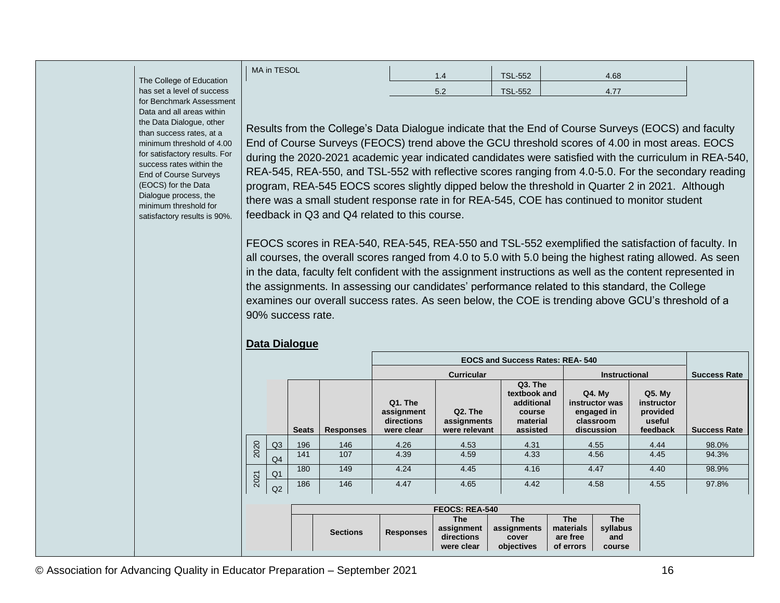|          | MA in TESOL | .   | <b>TSL-552</b> | 4.68           |
|----------|-------------|-----|----------------|----------------|
| λU<br>SS |             | 5.2 | <b>TSL-552</b> | $\bf{A}$<br>тл |
| $\sim$   |             |     |                |                |

The College of Educatio has set a level of succes for Benchmark Assessment Data and all areas within the Data Dialogue, other than success rates, at a minimum threshold of 4.00 for satisfactory results. For success rates within the End of Course Surveys (EOCS) for the Data Dialogue process, the minimum threshold for satisfactory results is 90%.

Results from the College's Data Dialogue indicate that the End of Course Surveys (EOCS) and faculty End of Course Surveys (FEOCS) trend above the GCU threshold scores of 4.00 in most areas. EOCS during the 2020-2021 academic year indicated candidates were satisfied with the curriculum in REA-540, REA-545, REA-550, and TSL-552 with reflective scores ranging from 4.0-5.0. For the secondary reading program, REA-545 EOCS scores slightly dipped below the threshold in Quarter 2 in 2021. Although there was a small student response rate in for REA-545, COE has continued to monitor student feedback in Q3 and Q4 related to this course.

FEOCS scores in REA-540, REA-545, REA-550 and TSL-552 exemplified the satisfaction of faculty. In all courses, the overall scores ranged from 4.0 to 5.0 with 5.0 being the highest rating allowed. As seen in the data, faculty felt confident with the assignment instructions as well as the content represented in the assignments. In assessing our candidates' performance related to this standard, the College examines our overall success rates. As seen below, the COE is trending above GCU's threshold of a 90% success rate.

#### **Data Dialogue**

|      |                |              |                  |                                                   |                                                      | <b>EOCS and Success Rates: REA-540</b>                                  |                                                                          |                                                          |                     |
|------|----------------|--------------|------------------|---------------------------------------------------|------------------------------------------------------|-------------------------------------------------------------------------|--------------------------------------------------------------------------|----------------------------------------------------------|---------------------|
|      |                |              |                  |                                                   | <b>Curricular</b>                                    |                                                                         | <b>Instructional</b>                                                     |                                                          | <b>Success Rate</b> |
|      |                | <b>Seats</b> | <b>Responses</b> | Q1. The<br>assignment<br>directions<br>were clear | Q <sub>2</sub> . The<br>assignments<br>were relevant | Q3. The<br>textbook and<br>additional<br>course<br>material<br>assisted | <b>Q4. My</b><br>instructor was<br>engaged in<br>classroom<br>discussion | $Q5.$ My<br>instructor<br>provided<br>useful<br>feedback | <b>Success Rate</b> |
| 2020 | Q <sub>3</sub> | 196          | 146              | 4.26                                              | 4.53                                                 | 4.31                                                                    | 4.55                                                                     | 4.44                                                     | 98.0%               |
|      | Q4             | 141          | 107              | 4.39                                              | 4.59                                                 | 4.33                                                                    | 4.56                                                                     | 4.45                                                     | 94.3%               |
| 2021 | Q <sub>1</sub> | 180          | 149              | 4.24                                              | 4.45                                                 | 4.16                                                                    | 4.47                                                                     | 4.40                                                     | 98.9%               |
|      | Q2             | 186          | 146              | 4.47                                              | 4.65                                                 | 4.42                                                                    | 4.58                                                                     | 4.55                                                     | 97.8%               |

| <b>FEOCS: REA-540</b> |                  |            |             |            |            |  |  |  |  |
|-----------------------|------------------|------------|-------------|------------|------------|--|--|--|--|
|                       |                  | The        | <b>The</b>  | <b>The</b> | <b>The</b> |  |  |  |  |
| <b>Sections</b>       | <b>Responses</b> | assignment | assignments | materials  | syllabus   |  |  |  |  |
|                       |                  | directions | cover       | are free   | and        |  |  |  |  |
|                       |                  | were clear | objectives  | of errors  | course     |  |  |  |  |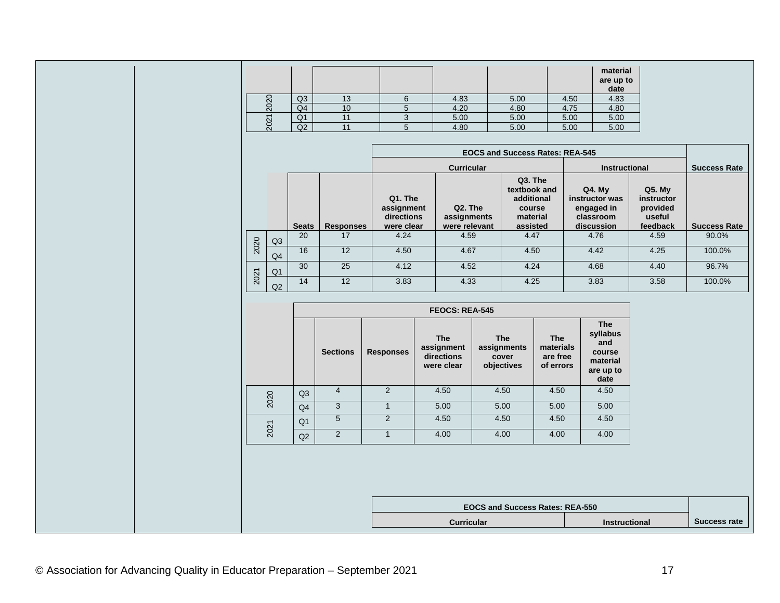|     |                |   |      |      |      | material<br>are up to<br>date |
|-----|----------------|---|------|------|------|-------------------------------|
|     | Q <sub>3</sub> | J | 4.83 | 5.00 | 4.50 | 4.83                          |
| 202 | Q4             |   | 4.20 | 4.80 | 4.75 | 4.80                          |
|     | Q1             |   | 5.00 | 5.00 | 5.00 | 5.00                          |
| 202 | Q2             |   | 4.80 | 5.00 | 5.00 | 5.00                          |

|      |                |              |                  |                                                   |                                         | <b>EOCS and Success Rates: REA-545</b>                                  |                                                                     |                                                          |                     |
|------|----------------|--------------|------------------|---------------------------------------------------|-----------------------------------------|-------------------------------------------------------------------------|---------------------------------------------------------------------|----------------------------------------------------------|---------------------|
|      |                |              |                  |                                                   | <b>Curricular</b>                       |                                                                         | <b>Instructional</b>                                                | <b>Success Rate</b>                                      |                     |
|      |                | <b>Seats</b> | <b>Responses</b> | Q1. The<br>assignment<br>directions<br>were clear | Q2. The<br>assignments<br>were relevant | Q3. The<br>textbook and<br>additional<br>course<br>material<br>assisted | $Q4.$ My<br>instructor was<br>engaged in<br>classroom<br>discussion | $Q5.$ My<br>instructor<br>provided<br>useful<br>feedback | <b>Success Rate</b> |
| 2020 | Q <sub>3</sub> | 20           | 17               | 4.24                                              | 4.59                                    | 4.47                                                                    | 4.76                                                                | 4.59                                                     | 90.0%               |
|      | Q <sub>4</sub> | 16           | 12               | 4.50                                              | 4.67                                    | 4.50                                                                    | 4.42                                                                | 4.25                                                     | 100.0%              |
| 2021 | Q <sub>1</sub> | 30           | 25               | 4.12                                              | 4.52                                    | 4.24                                                                    | 4.68                                                                | 4.40                                                     | 96.7%               |
|      | Q <sub>2</sub> | 14           | 12               | 3.83                                              | 4.33                                    | 4.25                                                                    | 3.83                                                                | 3.58                                                     | 100.0%              |

|      |                |                 |                  | <b>FEOCS: REA-545</b>                                |                                                  |                                                  |                                                                          |  |  |
|------|----------------|-----------------|------------------|------------------------------------------------------|--------------------------------------------------|--------------------------------------------------|--------------------------------------------------------------------------|--|--|
|      |                | <b>Sections</b> | <b>Responses</b> | <b>The</b><br>assignment<br>directions<br>were clear | <b>The</b><br>assignments<br>cover<br>objectives | <b>The</b><br>materials<br>are free<br>of errors | <b>The</b><br>syllabus<br>and<br>course<br>material<br>are up to<br>date |  |  |
| 2020 | Q <sub>3</sub> | $\overline{4}$  | 2                | 4.50                                                 | 4.50                                             | 4.50                                             | 4.50                                                                     |  |  |
|      | Q4             | 3               | $\mathbf{1}$     | 5.00                                                 | 5.00                                             | 5.00                                             | 5.00                                                                     |  |  |
|      | Q <sub>1</sub> | 5               | $\overline{2}$   | 4.50                                                 | 4.50                                             | 4.50                                             | 4.50                                                                     |  |  |
| 2021 | Q2             | $\overline{2}$  | $\mathbf{1}$     | 4.00                                                 | 4.00                                             | 4.00                                             | 4.00                                                                     |  |  |
|      |                |                 |                  |                                                      |                                                  |                                                  |                                                                          |  |  |
|      |                |                 |                  |                                                      | <b>EOCS and Success Rates: REA-550</b>           |                                                  |                                                                          |  |  |
|      |                |                 |                  | <b>Curricular</b>                                    | <b>Instructional</b>                             | <b>Success rate</b>                              |                                                                          |  |  |
|      |                |                 |                  |                                                      |                                                  |                                                  |                                                                          |  |  |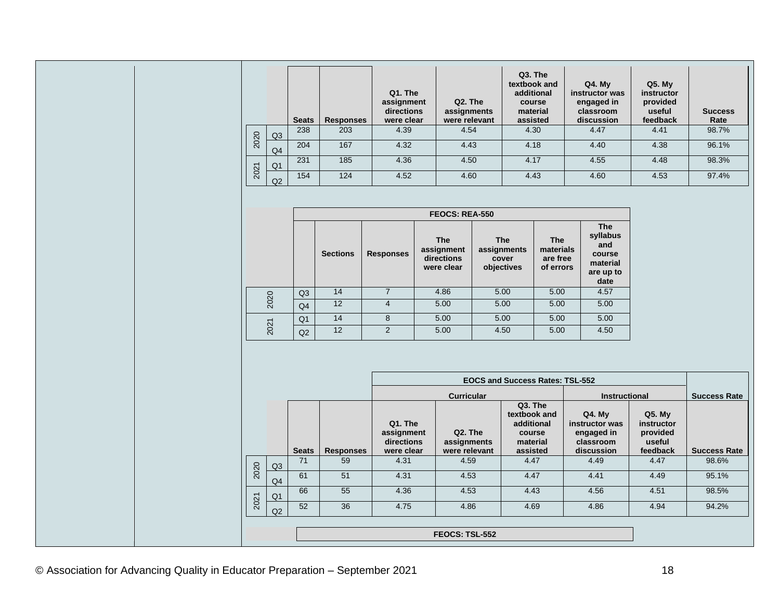|      |                | <b>Seats</b> | <b>Responses</b> | Q1. The<br>assignment<br>directions<br>were clear | Q2. The<br>assignments<br>were relevant | Q <sub>3</sub> . The<br>textbook and<br>additional<br>course<br>material<br>assisted | $Q4.$ My<br>instructor was<br>engaged in<br>classroom<br>discussion | $Q5.$ My<br><i>instructor</i><br>provided<br>useful<br>feedback | <b>Success</b><br>Rate |
|------|----------------|--------------|------------------|---------------------------------------------------|-----------------------------------------|--------------------------------------------------------------------------------------|---------------------------------------------------------------------|-----------------------------------------------------------------|------------------------|
| 2020 | Q <sub>3</sub> | 238          | 203              | 4.39                                              | 4.54                                    | 4.30                                                                                 | 4.47                                                                | 4.41                                                            | 98.7%                  |
|      | Q <sub>4</sub> | 204          | 167              | 4.32                                              | 4.43                                    | 4.18                                                                                 | 4.40                                                                | 4.38                                                            | 96.1%                  |
|      | Q <sub>1</sub> | 231          | 185              | 4.36                                              | 4.50                                    | 4.17                                                                                 | 4.55                                                                | 4.48                                                            | 98.3%                  |
| 2021 | Q2             | 154          | 124              | 4.52                                              | 4.60                                    | 4.43                                                                                 | 4.60                                                                | 4.53                                                            | 97.4%                  |

|      |                |                 |                  | <b>FEOCS: REA-550</b>                                |                                                  |                                                  |                                                                          |
|------|----------------|-----------------|------------------|------------------------------------------------------|--------------------------------------------------|--------------------------------------------------|--------------------------------------------------------------------------|
|      |                | <b>Sections</b> | <b>Responses</b> | <b>The</b><br>assignment<br>directions<br>were clear | <b>The</b><br>assignments<br>cover<br>objectives | <b>The</b><br>materials<br>are free<br>of errors | <b>The</b><br>syllabus<br>and<br>course<br>material<br>are up to<br>date |
|      | Q3             | 14              | 7                | 4.86                                                 | 5.00                                             | 5.00                                             | 4.57                                                                     |
| 2020 | Q <sub>4</sub> | 12              | 4                | 5.00                                                 | 5.00                                             | 5.00                                             | 5.00                                                                     |
|      | Q <sub>1</sub> | 14              | 8                | 5.00                                                 | 5.00                                             | 5.00                                             | 5.00                                                                     |
| 2021 | Q2             | 12              | 2                | 5.00                                                 | 4.50                                             | 5.00                                             | 4.50                                                                     |

|      |                |                       |                  |                                                   |                                                      | <b>EOCS and Success Rates: TSL-552</b>                                  |                                                                     |                                                               |                     |  |
|------|----------------|-----------------------|------------------|---------------------------------------------------|------------------------------------------------------|-------------------------------------------------------------------------|---------------------------------------------------------------------|---------------------------------------------------------------|---------------------|--|
|      |                |                       |                  |                                                   | <b>Curricular</b>                                    |                                                                         | <b>Instructional</b>                                                |                                                               | <b>Success Rate</b> |  |
|      |                | <b>Seats</b>          | <b>Responses</b> | Q1. The<br>assignment<br>directions<br>were clear | Q <sub>2</sub> . The<br>assignments<br>were relevant | Q3. The<br>textbook and<br>additional<br>course<br>material<br>assisted | $Q4.$ My<br>instructor was<br>engaged in<br>classroom<br>discussion | <b>Q5. My</b><br>instructor<br>provided<br>useful<br>feedback | <b>Success Rate</b> |  |
| 2020 | Q <sub>3</sub> | 71                    | 59               | 4.31                                              | 4.59                                                 | 4.47                                                                    | 4.49                                                                | 4.47                                                          | 98.6%               |  |
|      | Q <sub>4</sub> | 61                    | 51               | 4.31                                              | 4.53                                                 | 4.47                                                                    | 4.41                                                                | 4.49                                                          | 95.1%               |  |
|      | Q <sub>1</sub> | 66                    | 55               | 4.36                                              | 4.53                                                 | 4.43                                                                    | 4.56                                                                | 4.51                                                          | 98.5%               |  |
| 2021 | Q2             | 52                    | 36               | 4.75                                              | 4.86                                                 | 4.69                                                                    | 4.86                                                                | 4.94                                                          | 94.2%               |  |
|      |                |                       |                  |                                                   |                                                      |                                                                         |                                                                     |                                                               |                     |  |
|      |                | <b>FEOCS: TSL-552</b> |                  |                                                   |                                                      |                                                                         |                                                                     |                                                               |                     |  |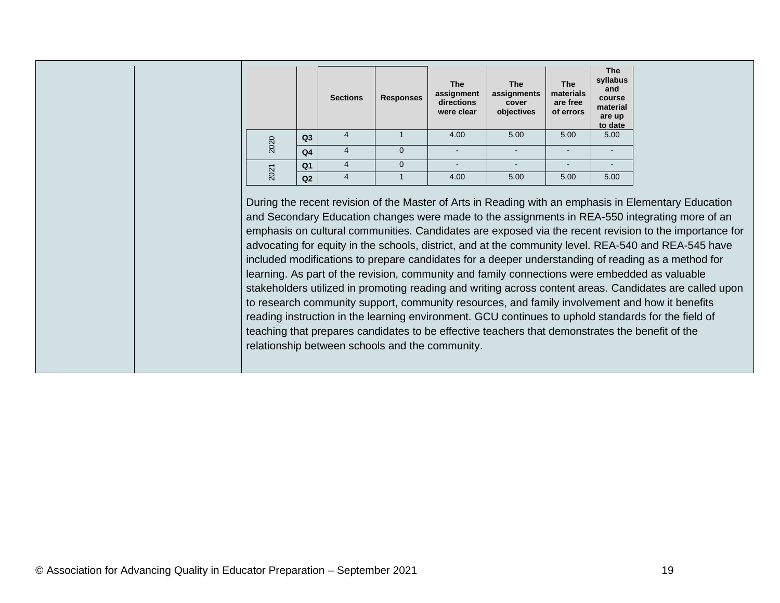|      |                | <b>Sections</b> | <b>Responses</b> | <b>The</b><br>assignment<br>directions<br>were clear | <b>The</b><br>assignments<br>cover<br>objectives | <b>The</b><br>materials<br>are free<br>of errors | <b>The</b><br>syllabus<br>and<br>course<br>material<br>are up<br>to date |
|------|----------------|-----------------|------------------|------------------------------------------------------|--------------------------------------------------|--------------------------------------------------|--------------------------------------------------------------------------|
| 2020 | Q <sub>3</sub> | $\overline{4}$  |                  | 4.00                                                 | 5.00                                             | 5.00                                             | 5.00                                                                     |
|      | Q <sub>4</sub> | 4               | $\overline{0}$   |                                                      |                                                  |                                                  |                                                                          |
| 2021 | Q <sub>1</sub> | $\overline{4}$  | $\Omega$         |                                                      |                                                  |                                                  |                                                                          |
|      | Q2             | 4               |                  | 4.00                                                 | 5.00                                             | 5.00                                             | 5.00                                                                     |

During the recent revision of the Master of Arts in Reading with an emphasis in Elementary Education and Secondary Education changes were made to the assignments in REA-550 integrating more of an emphasis on cultural communities. Candidates are exposed via the recent revision to the importance for advocating for equity in the schools, district, and at the community level. REA-540 and REA-545 have included modifications to prepare candidates for a deeper understanding of reading as a method for learning. As part of the revision, community and family connections were embedded as valuable stakeholders utilized in promoting reading and writing across content areas. Candidates are called upon to research community support, community resources, and family involvement and how it benefits reading instruction in the learning environment. GCU continues to uphold standards for the field of teaching that prepares candidates to be effective teachers that demonstrates the benefit of the relationship between schools and the community.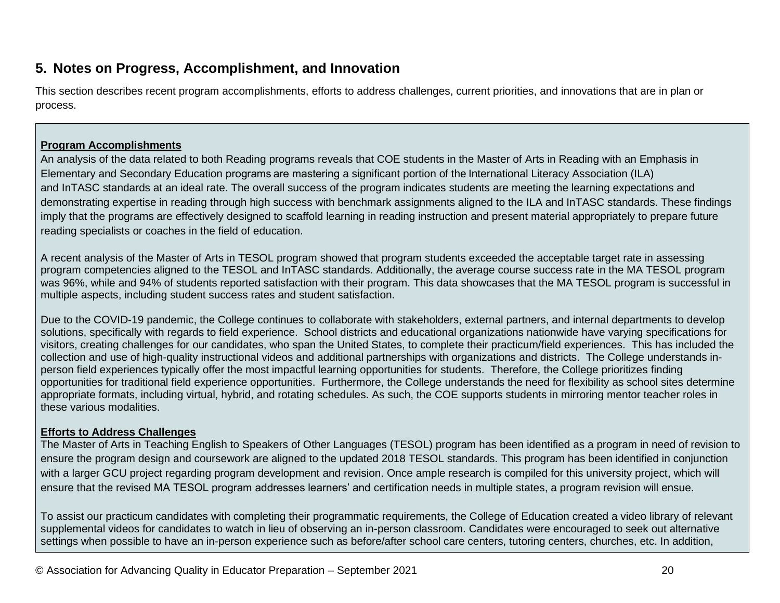### **5. Notes on Progress, Accomplishment, and Innovation**

This section describes recent program accomplishments, efforts to address challenges, current priorities, and innovations that are in plan or process.

#### **Program Accomplishments**

An analysis of the data related to both Reading programs reveals that COE students in the Master of Arts in Reading with an Emphasis in Elementary and Secondary Education programs are mastering a significant portion of the International Literacy Association (ILA) and InTASC standards at an ideal rate. The overall success of the program indicates students are meeting the learning expectations and demonstrating expertise in reading through high success with benchmark assignments aligned to the ILA and InTASC standards. These findings imply that the programs are effectively designed to scaffold learning in reading instruction and present material appropriately to prepare future reading specialists or coaches in the field of education.

A recent analysis of the Master of Arts in TESOL program showed that program students exceeded the acceptable target rate in assessing program competencies aligned to the TESOL and InTASC standards. Additionally, the average course success rate in the MA TESOL program was 96%, while and 94% of students reported satisfaction with their program. This data showcases that the MA TESOL program is successful in multiple aspects, including student success rates and student satisfaction.

Due to the COVID-19 pandemic, the College continues to collaborate with stakeholders, external partners, and internal departments to develop solutions, specifically with regards to field experience. School districts and educational organizations nationwide have varying specifications for visitors, creating challenges for our candidates, who span the United States, to complete their practicum/field experiences. This has included the collection and use of high-quality instructional videos and additional partnerships with organizations and districts. The College understands inperson field experiences typically offer the most impactful learning opportunities for students. Therefore, the College prioritizes finding opportunities for traditional field experience opportunities. Furthermore, the College understands the need for flexibility as school sites determine appropriate formats, including virtual, hybrid, and rotating schedules. As such, the COE supports students in mirroring mentor teacher roles in these various modalities.

#### **Efforts to Address Challenges**

The Master of Arts in Teaching English to Speakers of Other Languages (TESOL) program has been identified as a program in need of revision to ensure the program design and coursework are aligned to the updated 2018 TESOL standards. This program has been identified in conjunction with a larger GCU project regarding program development and revision. Once ample research is compiled for this university project, which will ensure that the revised MA TESOL program addresses learners' and certification needs in multiple states, a program revision will ensue.

To assist our practicum candidates with completing their programmatic requirements, the College of Education created a video library of relevant supplemental videos for candidates to watch in lieu of observing an in-person classroom. Candidates were encouraged to seek out alternative settings when possible to have an in-person experience such as before/after school care centers, tutoring centers, churches, etc. In addition,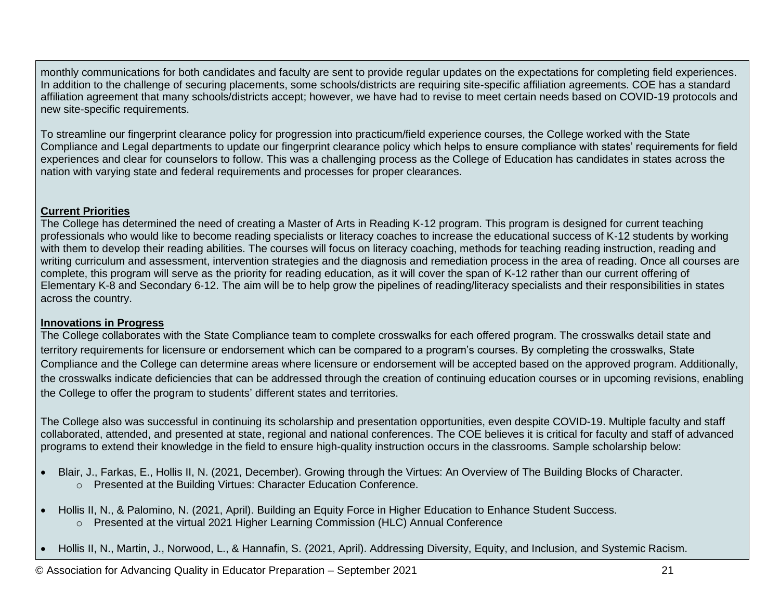monthly communications for both candidates and faculty are sent to provide regular updates on the expectations for completing field experiences. In addition to the challenge of securing placements, some schools/districts are requiring site-specific affiliation agreements. COE has a standard affiliation agreement that many schools/districts accept; however, we have had to revise to meet certain needs based on COVID-19 protocols and new site-specific requirements.

To streamline our fingerprint clearance policy for progression into practicum/field experience courses, the College worked with the State Compliance and Legal departments to update our fingerprint clearance policy which helps to ensure compliance with states' requirements for field experiences and clear for counselors to follow. This was a challenging process as the College of Education has candidates in states across the nation with varying state and federal requirements and processes for proper clearances.

#### **Current Priorities**

The College has determined the need of creating a Master of Arts in Reading K-12 program. This program is designed for current teaching professionals who would like to become reading specialists or literacy coaches to increase the educational success of K-12 students by working with them to develop their reading abilities. The courses will focus on literacy coaching, methods for teaching reading instruction, reading and writing curriculum and assessment, intervention strategies and the diagnosis and remediation process in the area of reading. Once all courses are complete, this program will serve as the priority for reading education, as it will cover the span of K-12 rather than our current offering of Elementary K-8 and Secondary 6-12. The aim will be to help grow the pipelines of reading/literacy specialists and their responsibilities in states across the country.

#### **Innovations in Progress**

The College collaborates with the State Compliance team to complete crosswalks for each offered program. The crosswalks detail state and territory requirements for licensure or endorsement which can be compared to a program's courses. By completing the crosswalks, State Compliance and the College can determine areas where licensure or endorsement will be accepted based on the approved program. Additionally, the crosswalks indicate deficiencies that can be addressed through the creation of continuing education courses or in upcoming revisions, enabling the College to offer the program to students' different states and territories.

The College also was successful in continuing its scholarship and presentation opportunities, even despite COVID-19. Multiple faculty and staff collaborated, attended, and presented at state, regional and national conferences. The COE believes it is critical for faculty and staff of advanced programs to extend their knowledge in the field to ensure high-quality instruction occurs in the classrooms. Sample scholarship below:

- Blair, J., Farkas, E., Hollis II, N. (2021, December). Growing through the Virtues: An Overview of The Building Blocks of Character. o Presented at the Building Virtues: Character Education Conference.
- Hollis II, N., & Palomino, N. (2021, April). Building an Equity Force in Higher Education to Enhance Student Success. o Presented at the virtual 2021 Higher Learning Commission (HLC) Annual Conference
- Hollis II, N., Martin, J., Norwood, L., & Hannafin, S. (2021, April). Addressing Diversity, Equity, and Inclusion, and Systemic Racism.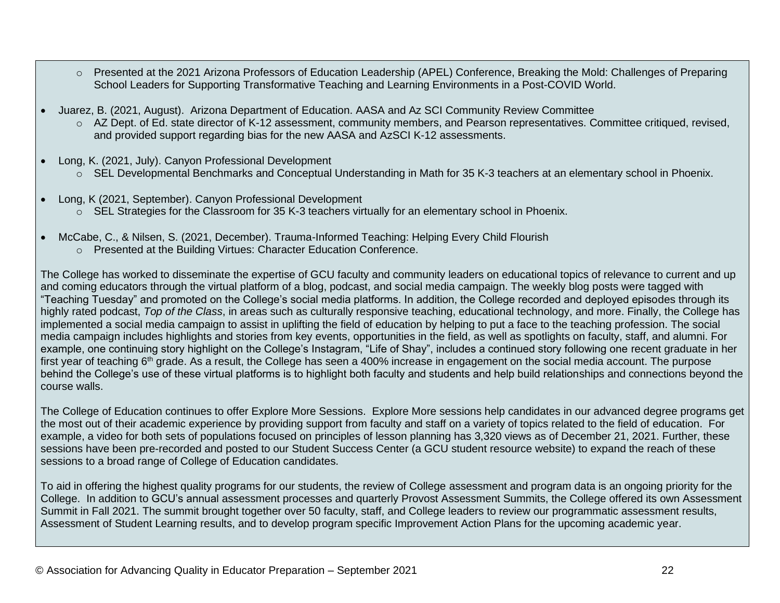- o Presented at the 2021 Arizona Professors of Education Leadership (APEL) Conference, Breaking the Mold: Challenges of Preparing School Leaders for Supporting Transformative Teaching and Learning Environments in a Post-COVID World.
- Juarez, B. (2021, August). Arizona Department of Education. AASA and Az SCI Community Review Committee
	- o AZ Dept. of Ed. state director of K-12 assessment, community members, and Pearson representatives. Committee critiqued, revised, and provided support regarding bias for the new AASA and AzSCI K-12 assessments.
- Long, K. (2021, July). Canyon Professional Development
	- o SEL Developmental Benchmarks and Conceptual Understanding in Math for 35 K-3 teachers at an elementary school in Phoenix.
- Long, K (2021, September). Canyon Professional Development
	- $\circ$  SEL Strategies for the Classroom for 35 K-3 teachers virtually for an elementary school in Phoenix.
- McCabe, C., & Nilsen, S. (2021, December). Trauma-Informed Teaching: Helping Every Child Flourish
	- o Presented at the Building Virtues: Character Education Conference.

The College has worked to disseminate the expertise of GCU faculty and community leaders on educational topics of relevance to current and up and coming educators through the virtual platform of a blog, podcast, and social media campaign. The weekly blog posts were tagged with "Teaching Tuesday" and promoted on the College's social media platforms. In addition, the College recorded and deployed episodes through its highly rated podcast, *Top of the Class*, in areas such as culturally responsive teaching, educational technology, and more. Finally, the College has implemented a social media campaign to assist in uplifting the field of education by helping to put a face to the teaching profession. The social media campaign includes highlights and stories from key events, opportunities in the field, as well as spotlights on faculty, staff, and alumni. For example, one continuing story highlight on the College's Instagram, "Life of Shay", includes a continued story following one recent graduate in her first year of teaching  $6<sup>th</sup>$  grade. As a result, the College has seen a 400% increase in engagement on the social media account. The purpose behind the College's use of these virtual platforms is to highlight both faculty and students and help build relationships and connections beyond the course walls.

The College of Education continues to offer Explore More Sessions. Explore More sessions help candidates in our advanced degree programs get the most out of their academic experience by providing support from faculty and staff on a variety of topics related to the field of education. For example, a video for both sets of populations focused on principles of lesson planning has 3,320 views as of December 21, 2021. Further, these sessions have been pre-recorded and posted to our Student Success Center (a GCU student resource website) to expand the reach of these sessions to a broad range of College of Education candidates.

To aid in offering the highest quality programs for our students, the review of College assessment and program data is an ongoing priority for the College. In addition to GCU's annual assessment processes and quarterly Provost Assessment Summits, the College offered its own Assessment Summit in Fall 2021. The summit brought together over 50 faculty, staff, and College leaders to review our programmatic assessment results, Assessment of Student Learning results, and to develop program specific Improvement Action Plans for the upcoming academic year.